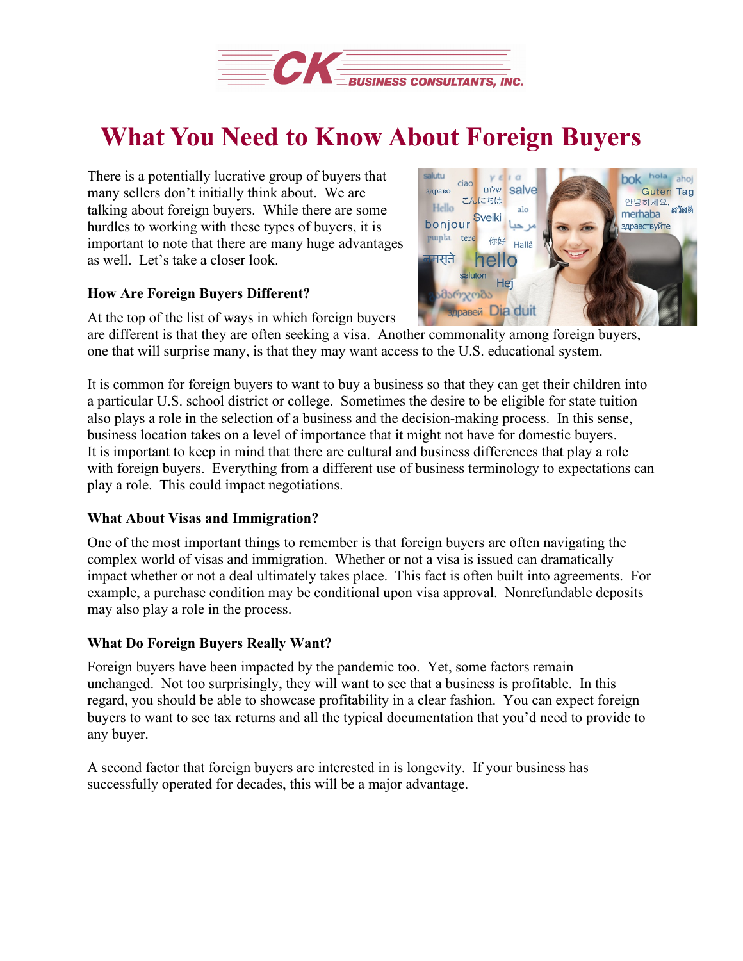

## **What You Need to Know About Foreign Buyers**

There is a potentially lucrative group of buyers that many sellers don't initially think about. We are talking about foreign buyers. While there are some hurdles to working with these types of buyers, it is important to note that there are many huge advantages as well. Let's take a closer look.

## **How Are Foreign Buyers Different?**

At the top of the list of ways in which foreign buyers



are different is that they are often seeking a visa. Another commonality among foreign buyers, one that will surprise many, is that they may want access to the U.S. educational system.

It is common for foreign buyers to want to buy a business so that they can get their children into a particular U.S. school district or college. Sometimes the desire to be eligible for state tuition also plays a role in the selection of a business and the decision-making process. In this sense, business location takes on a level of importance that it might not have for domestic buyers. It is important to keep in mind that there are cultural and business differences that play a role with foreign buyers. Everything from a different use of business terminology to expectations can play a role. This could impact negotiations.

## **What About Visas and Immigration?**

One of the most important things to remember is that foreign buyers are often navigating the complex world of visas and immigration. Whether or not a visa is issued can dramatically impact whether or not a deal ultimately takes place. This fact is often built into agreements. For example, a purchase condition may be conditional upon visa approval. Nonrefundable deposits may also play a role in the process.

## **What Do Foreign Buyers Really Want?**

Foreign buyers have been impacted by the pandemic too. Yet, some factors remain unchanged. Not too surprisingly, they will want to see that a business is profitable. In this regard, you should be able to showcase profitability in a clear fashion. You can expect foreign buyers to want to see tax returns and all the typical documentation that you'd need to provide to any buyer.

A second factor that foreign buyers are interested in is longevity. If your business has successfully operated for decades, this will be a major advantage.